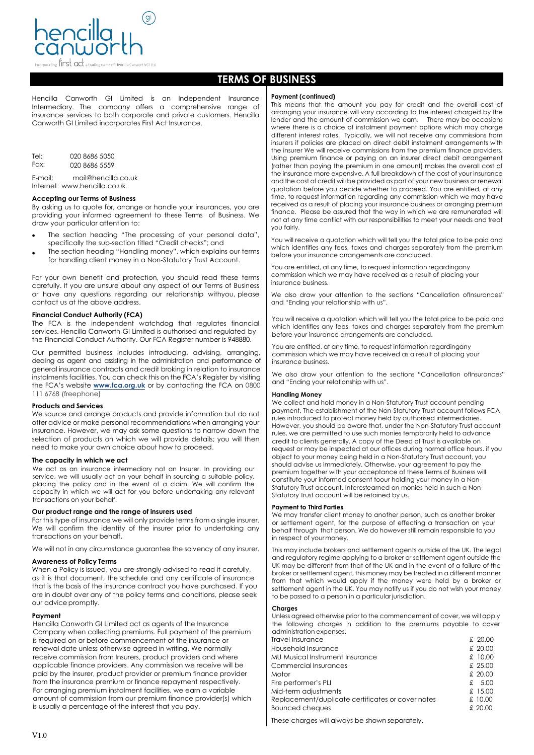

# **TERMS OF BUSINESS**

Hencilla Canworth GI Limited is an Independent Insurance Intermediary. The company offers a comprehensive range of insurance services to both corporate and private customers. Hencilla Canworth GI Limited incorporates First Act Insurance.

| Tel: | 020 8686 5050 |  |
|------|---------------|--|
| Fax: | 020 8686 5559 |  |

E-mail: [mail@hencilla.co.uk](mailto:mail@hencilla.co.uk) Internet: [www.hencilla.co.uk](http://www.hencilla.co.uk/)

### **Accepting our Terms of Business**

By asking us to quote for, arrange or handle your insurances, you are providing your informed agreement to these Terms of Business. We draw your particular attention to:

- The section heading "The processing of your personal data", specifically the sub-section titled "Credit checks"; and
- The section heading "Handling money", which explains our terms for handling client money in a Non-Statutory Trust Account. •

For your own benefit and protection, you should read these terms carefully. If you are unsure about any aspect of our Terms of Business or have any questions regarding our relationship withyou, please contact us at the above address.

# **Financial Conduct Authority (FCA)**

The FCA is the independent watchdog that regulates financial services. Hencilla Canworth GI Limited is authorised and regulated by the Financial Conduct Authority. Our FCA Register number is 948880.

Our permitted business includes introducing, advising, arranging, dealing as agent and assisting in the administration and performance of general insurance contracts and credit broking in relation to insurance instalments facilities. You can check this on the FCA's Register by visiting the FCA's website **[www.fca.org.uk](http://www.fca.org.uk/)** or by contacting the FCA on 0800 111 6768 (freephone)

# **Products and Services**

We source and arrange products and provide information but do not offer advice or make personal recommendations when arranging your insurance. However, we may ask some questions to narrow down the selection of products on which we will provide details; you will then need to make your own choice about how to proceed.

# **The capacity in which we act**

We act as an insurance intermediary not an Insurer. In providing our service, we will usually act on your behalf in sourcing a suitable policy, placing the policy and in the event of a claim. We will confirm the capacity in which we will act for you before undertaking any relevant transactions on your behalf.

### **Our product range and the range of insurers used**

For this type of insurance we will only provide terms from a single insurer. We will confirm the identity of the insurer prior to undertaking any transactions on your behalf.

We will not in any circumstance augrantee the solvency of any insurer.

# **Awareness of Policy Terms**

When a Policy is issued, you are strongly advised to read it carefully, as it is that document, the schedule and any certificate of insurance that is the basis of the insurance contract you have purchased. If you are in doubt over any of the policy terms and conditions, please seek our advice promptly.

### **Payment**

Hencilla Canworth GI Limited act as agents of the Insurance Company when collecting premiums. Full payment of the premium is required on or before commencement of the insurance or renewal date unless otherwise agreed in writing. We normally receive commission from Insurers, product providers and where applicable finance providers. Any commission we receive will be paid by the insurer, product provider or premium finance provider from the insurance premium or finance repayment respectively. For arranging premium instalment facilities, we earn a variable amount of commission from our premium finance provider(s) which is usually a percentage of the interest that you pay.

#### **Payment (continued)**

This means that the amount you pay for credit and the overall cost of arranging your insurance will vary according to the interest charged by the lender and the amount of commission we earn. There may be occasions where there is a choice of instalment payment options which may charge different interest rates. Typically, we will not receive any commissions from insurers if policies are placed on direct debit instalment arrangements with the insurer We will receive commissions from the premium finance providers. Using premium finance or paying on an insurer direct debit arrangement (rather than paying the premium in one amount) makes the overall cost of the insurance more expensive. A full breakdown of the cost of your insurance and the cost of credit will be provided as part of your new business or renewal quotation before you decide whether to proceed. You are entitled, at any time, to request information regarding any commission which we may have received as a result of placing your insurance business or arranging premium finance. Please be assured that the way in which we are remunerated will not at any time conflict with our responsibilities to meet your needs and treat you fairly.

You will receive a quotation which will tell you the total price to be paid and which identifies any fees, taxes and charges separately from the premium before your insurance arrangements are concluded.

You are entitled, at any time, to request information regardingany commission which we may have received as a result of placing your insurance business.

We also draw your attention to the sections "Cancellation of Insurances" and "Ending your relationship with us".

You will receive a quotation which will tell you the total price to be paid and which identifies any fees, taxes and charges separately from the premium before your insurance arrangements are concluded.

You are entitled, at any time, to request information regardingany commission which we may have received as a result of placing your insurance business.

We also draw your attention to the sections "Cancellation of Insurances" and "Ending your relationship with us".

#### **Handling Money**

We collect and hold money in a Non-Statutory Trust account pending payment. The establishment of the Non-Statutory Trust account follows FCA rules introduced to protect money held by authorised intermediaries. However, you should be aware that, under the Non-Statutory Trust account rules, we are permitted to use such monies temporarily held to advance credit to clients generally. A copy of the Deed of Trust is available on request or may be inspected at our offices during normal office hours. if you object to your money being held in a Non-Statutory Trust account, you should advise us immediately. Otherwise, your agreement to pay the premium together with your acceptance of these Terms of Business will constitute your informed consent toour holding your money in a Non-Statutory Trust account. Interestearned on monies held in such a Non-Statutory Trust account will be retained by us.

### **Payment to Third Parties**

We may transfer client money to another person, such as another broker or settlement agent, for the purpose of effecting a transaction on your behalf through that person. We do however still remain responsible to you in respect of yourmoney.

This may include brokers and settlement agents outside of the UK. The legal and regulatory regime applying to a broker or settlement agent outside the UK may be different from that of the UK and in the event of a failure of the broker or settlement agent, this money may be treated in a different manner from that which would apply if the money were held by a broker or settlement agent in the UK. You may notify us if you do not wish your money to be passed to a person in a particular jurisdiction.

#### **Charges**

Unless agreed otherwise prior to the commencement of cover, we will apply the following charges in addition to the premiums payable to cover administration expenses.

| Travel Insurance                                  | £ $20.00$ |
|---------------------------------------------------|-----------|
| Household Insurance                               | £ 20.00   |
| MU Musical Instrument Insurance                   | £10.00    |
| Commercial Insurances                             | £25.00    |
| Motor                                             | £ 20.00   |
| Fire performer's PLI                              | £ $5.00$  |
| Mid-term adjustments                              | £ 15.00   |
| Replacement/duplicate certificates or cover notes | £ 10.00   |
| <b>Bounced cheques</b>                            | £ 20.00   |
|                                                   |           |

These charges will always be shown separately.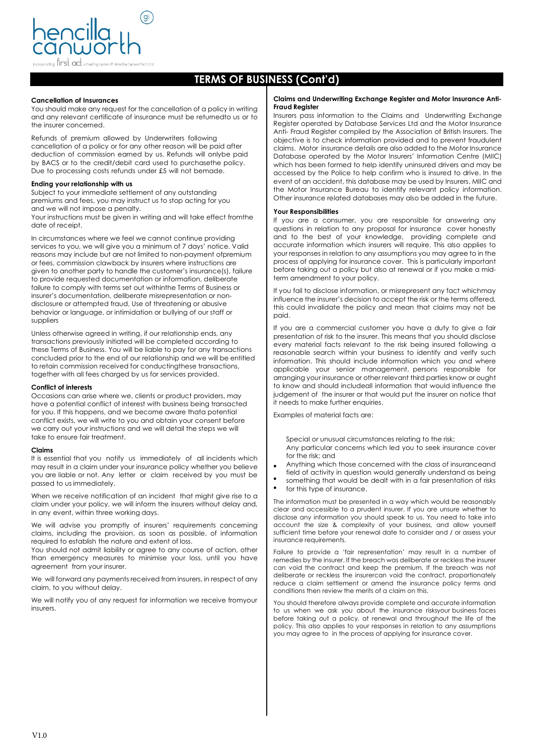

# **Cancellation of Insurances**

first act a trading name of Hencilla Canworth CI Ltd

**nencil** 

You should make any request for the cancellation of a policy in writing and any relevant certificate of insurance must be returnedto us or to the insurer concerned.

(gi

Refunds of premium allowed by Underwriters following cancellation of a policy or for any other reason will be paid after deduction of commission earned by us. Refunds will onlybe paid by BACS or to the credit/debit card used to purchasethe policy. Due to processing costs refunds under £5 will not bemade.

# **Ending your relationship with us**

Subject to your immediate settlement of any outstanding premiums and fees, you may instruct us to stop acting for you and we will not impose a penalty.

Your instructions must be given in writing and will take effect from the date of receipt.

In circumstances where we feel we cannot continue providing services to you, we will give you a minimum of 7 days' notice. Valid reasons may include but are not limited to non-payment ofpremium or fees, commission clawback by insurers where instructions are given to another party to handle the customer's insurance(s), failure to provide requested documentation or information, deliberate failure to comply with terms set out withinthe Terms of Business or insurer's documentation, deliberate misrepresentation or nondisclosure or attempted fraud, Use of threatening or abusive behavior or language, or intimidation or bullying of our staff or suppliers

Unless otherwise agreed in writing, if our relationship ends, any transactions previously initiated will be completed according to these Terms of Business. You will be liable to pay for any transactions concluded prior to the end of our relationship and we will be entitled to retain commission received for conductingthese transactions, together with all fees charged by us for services provided.

# **Conflict of interests**

Occasions can arise where we, clients or product providers, may have a potential conflict of interest with business being transacted for you. If this happens, and we become aware thata potential conflict exists, we will write to you and obtain your consent before we carry out your instructions and we will detail the steps we will take to ensure fair treatment.

### **Claims**

It is essential that you notify us immediately of all incidents which may result in a claim under your insurance policy whether you believe you are liable or not. Any letter or claim received by you must be passed to us immediately.

When we receive notification of an incident that might give rise to a claim under your policy, we will inform the insurers without delay and, in any event, within three working days.

We will advise you promptly of insurers' requirements concerning claims, including the provision, as soon as possible, of information required to establish the nature and extent of loss.

You should not admit liability or agree to any course of action, other than emergency measures to minimise your loss, until you have agreement from your insurer.

We will forward any payments received from insurers, in respect of any claim, to you without delay.

We will notify you of any request for information we receive fromyour insurers.

# **Claims and Underwriting Exchange Register and Motor Insurance Anti-Fraud Register**

Insurers pass information to the Claims and Underwriting Exchange Register operated by Database Services Ltd and the Motor Insurance Anti- Fraud Register compiled by the Association of British Insurers. The objective is to check information provided and to prevent fraudulent claims. Motor insurance details are also added to the Motor Insurance Database operated by the Motor Insurers' Information Centre (MIIC) which has been formed to help identify uninsured drivers and may be accessed by the Police to help confirm who is insured to drive. In the event of an accident, this database may be used by Insurers, MIIC and the Motor Insurance Bureau to identify relevant policy information. Other insurance related databases may also be added in the future.

#### **Your Responsibilities**

If you are a consumer, you are responsible for answering any questions in relation to any proposal for insurance cover honestly and to the best of your knowledge, providing complete and accurate information which insurers will require. This also applies to your responses in relation to any assumptions you may agree to in the process of applying for insurance cover. This is particularly important before taking out a policy but also at renewal or if you make a midterm amendment to your policy.

If you fail to disclose information, or misrepresent any fact whichmay influence the insurer's decision to accept the risk or the terms offered, this could invalidate the policy and mean that claims may not be paid.

If you are a commercial customer you have a duty to give a fair presentation of risk to the insurer. This means that you should disclose every material facts relevant to the risk being insured following a reasonable search within your business to identify and verify such information. This should include information which you and where applicable your senior management, persons responsible for arranging your insurance or other relevant third parties know or ought to know and should includeall information that would influence the judgement of the insurer or that would put the insurer on notice that it needs to make further enquiries.

Examples of material facts are:

Special or unusual circumstances relating to the risk; Any particular concerns which led you to seek insurance cover for the risk; and

- Anything which those concerned with the class of insuranceand •
- field of activity in question would generally understand as being
- something that would be dealt with in a fair presentation of risks
- for this type of insurance.

The information must be presented in a way which would be reasonably clear and accessible to a prudent insurer. If you are unsure whether to disclose any information you should speak to us. You need to take into account the size & complexity of your business, and allow yourself sufficient time before your renewal date to consider and / or assess your insurance requirements.

Failure to provide a 'fair representation' may result in a number of remedies by the insurer. If the breach was deliberate or reckless the insurer can void the contract and keep the premium. If the breach was not deliberate or reckless the insurercan void the contract, proportionately reduce a claim settlement or amend the insurance policy terms and conditions then review the merits of a claim on this.

You should therefore always provide complete and accurate information to us when we ask you about the insurance risksyour business faces before taking out a policy, at renewal and throughout the life of the policy. This also applies to your responses in relation to any assumptions you may agree to in the process of applying for insurance cover.